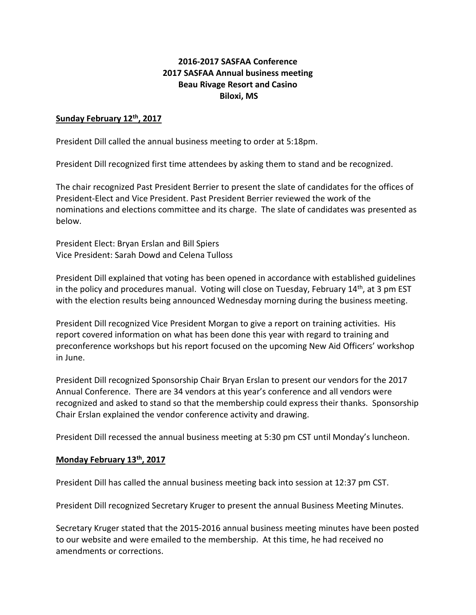## **2016-2017 SASFAA Conference 2017 SASFAA Annual business meeting Beau Rivage Resort and Casino Biloxi, MS**

## **Sunday February 12th, 2017**

President Dill called the annual business meeting to order at 5:18pm.

President Dill recognized first time attendees by asking them to stand and be recognized.

The chair recognized Past President Berrier to present the slate of candidates for the offices of President-Elect and Vice President. Past President Berrier reviewed the work of the nominations and elections committee and its charge. The slate of candidates was presented as below.

President Elect: Bryan Erslan and Bill Spiers Vice President: Sarah Dowd and Celena Tulloss

President Dill explained that voting has been opened in accordance with established guidelines in the policy and procedures manual. Voting will close on Tuesday, February 14<sup>th</sup>, at 3 pm EST with the election results being announced Wednesday morning during the business meeting.

President Dill recognized Vice President Morgan to give a report on training activities. His report covered information on what has been done this year with regard to training and preconference workshops but his report focused on the upcoming New Aid Officers' workshop in June.

President Dill recognized Sponsorship Chair Bryan Erslan to present our vendors for the 2017 Annual Conference. There are 34 vendors at this year's conference and all vendors were recognized and asked to stand so that the membership could express their thanks. Sponsorship Chair Erslan explained the vendor conference activity and drawing.

President Dill recessed the annual business meeting at 5:30 pm CST until Monday's luncheon.

## **Monday February 13th, 2017**

President Dill has called the annual business meeting back into session at 12:37 pm CST.

President Dill recognized Secretary Kruger to present the annual Business Meeting Minutes.

Secretary Kruger stated that the 2015-2016 annual business meeting minutes have been posted to our website and were emailed to the membership. At this time, he had received no amendments or corrections.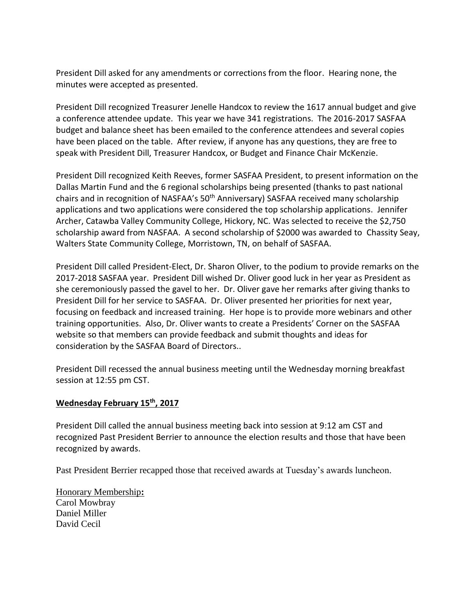President Dill asked for any amendments or corrections from the floor. Hearing none, the minutes were accepted as presented.

President Dill recognized Treasurer Jenelle Handcox to review the 1617 annual budget and give a conference attendee update. This year we have 341 registrations. The 2016-2017 SASFAA budget and balance sheet has been emailed to the conference attendees and several copies have been placed on the table. After review, if anyone has any questions, they are free to speak with President Dill, Treasurer Handcox, or Budget and Finance Chair McKenzie.

President Dill recognized Keith Reeves, former SASFAA President, to present information on the Dallas Martin Fund and the 6 regional scholarships being presented (thanks to past national chairs and in recognition of NASFAA's 50<sup>th</sup> Anniversary) SASFAA received many scholarship applications and two applications were considered the top scholarship applications. Jennifer Archer, Catawba Valley Community College, Hickory, NC. Was selected to receive the \$2,750 scholarship award from NASFAA. A second scholarship of \$2000 was awarded to Chassity Seay, Walters State Community College, Morristown, TN, on behalf of SASFAA.

President Dill called President-Elect, Dr. Sharon Oliver, to the podium to provide remarks on the 2017-2018 SASFAA year. President Dill wished Dr. Oliver good luck in her year as President as she ceremoniously passed the gavel to her. Dr. Oliver gave her remarks after giving thanks to President Dill for her service to SASFAA. Dr. Oliver presented her priorities for next year, focusing on feedback and increased training. Her hope is to provide more webinars and other training opportunities. Also, Dr. Oliver wants to create a Presidents' Corner on the SASFAA website so that members can provide feedback and submit thoughts and ideas for consideration by the SASFAA Board of Directors..

President Dill recessed the annual business meeting until the Wednesday morning breakfast session at 12:55 pm CST.

## **Wednesday February 15th, 2017**

President Dill called the annual business meeting back into session at 9:12 am CST and recognized Past President Berrier to announce the election results and those that have been recognized by awards.

Past President Berrier recapped those that received awards at Tuesday's awards luncheon.

Honorary Membership**:** Carol Mowbray Daniel Miller David Cecil